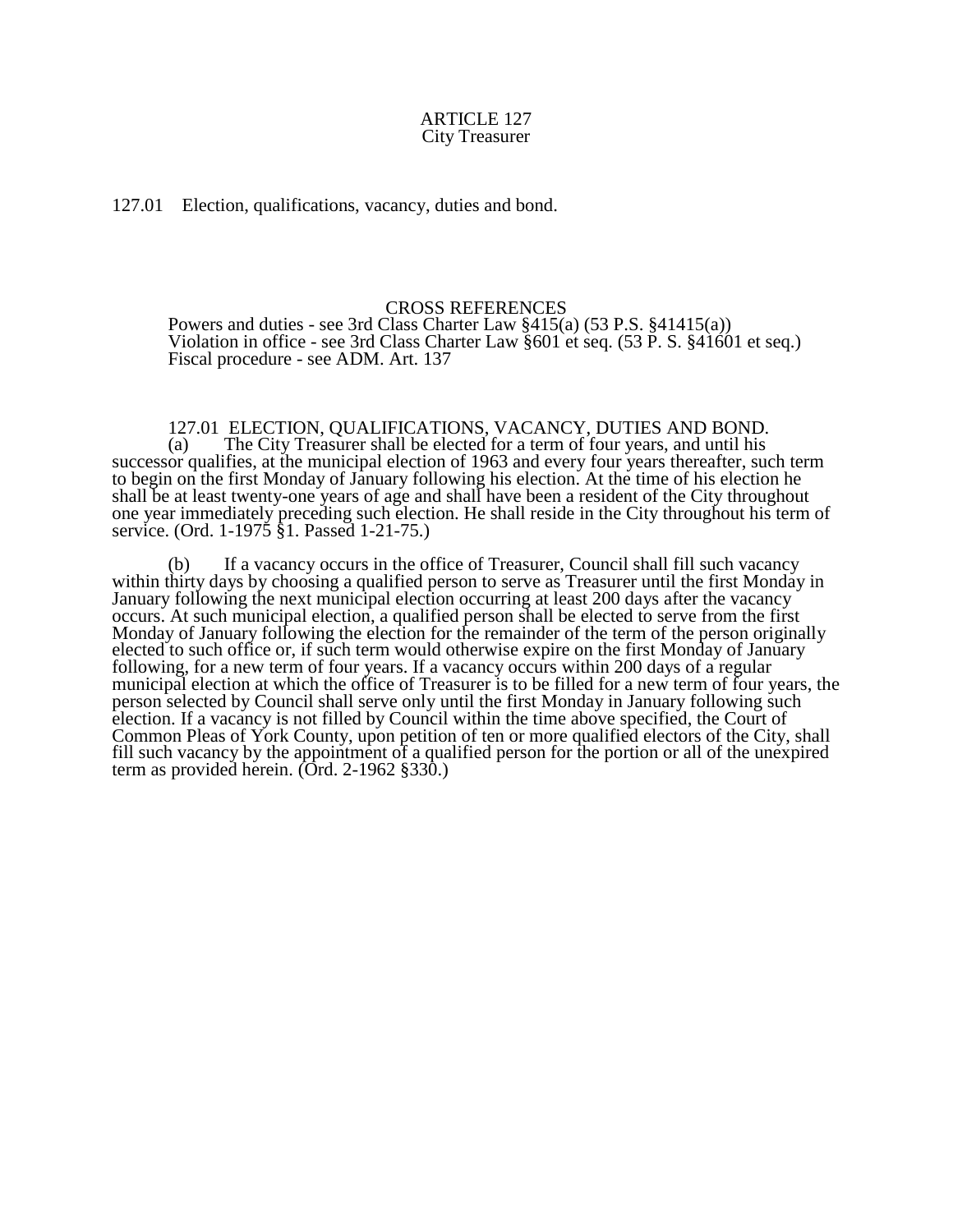127.01 Election, qualifications, vacancy, duties and bond.

## CROSS REFERENCES

Powers and duties - see 3rd Class Charter Law §415(a) (53 P.S. §41415(a)) Violation in office - see 3rd Class Charter Law §601 et seq. (53 P. S. §41601 et seq.) Fiscal procedure - see ADM. Art. 137

## 127.01 ELECTION, QUALIFICATIONS, VACANCY, DUTIES AND BOND.

(a) The City Treasurer shall be elected for a term of four years, and until his successor qualifies, at the municipal election of 1963 and every four years thereafter, such term to begin on the first Monday of January following his election. At the time of his election he shall be at least twenty-one years of age and shall have been a resident of the City throughout one year immediately preceding such election. He shall reside in the City throughout his term of service. (Ord. 1-1975 §1. Passed 1-21-75.)

(b) If a vacancy occurs in the office of Treasurer, Council shall fill such vacancy within thirty days by choosing a qualified person to serve as Treasurer until the first Monday in January following the next municipal election occurring at least 200 days after the vacancy occurs. At such municipal election, a qualified person shall be elected to serve from the first Monday of January following the election for the remainder of the term of the person originally elected to such office or, if such term would otherwise expire on the first Monday of January following, for a new term of four years. If a vacancy occurs within 200 days of a regular municipal election at which the office of Treasurer is to be filled for a new term of four years, the person selected by Council shall serve only until the first Monday in January following such election. If a vacancy is not filled by Council within the time above specified, the Court of Common Pleas of York County, upon petition of ten or more qualified electors of the City, shall fill such vacancy by the appointment of a qualified person for the portion or all of the unexpired term as provided herein. (Ord. 2-1962 §330.)